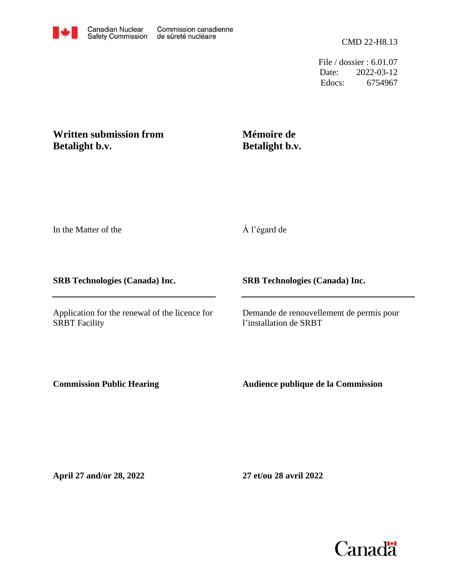File / dossier : 6.01.07 Date: 2022-03-12 Edocs: 6754967

## **Written submission from Betalight b.v.**

# **Mémoire de Betalight b.v.**

In the Matter of the

À l'égard de

### **SRB Technologies (Canada) Inc.**

Application for the renewal of the licence for SRBT Facility

### **SRB Technologies (Canada) Inc.**

Demande de renouvellement de permis pour l'installation de SRBT

**Commission Public Hearing**

**Audience publique de la Commission**

**April 27 and/or 28, 2022**

**27 et/ou 28 avril 2022**